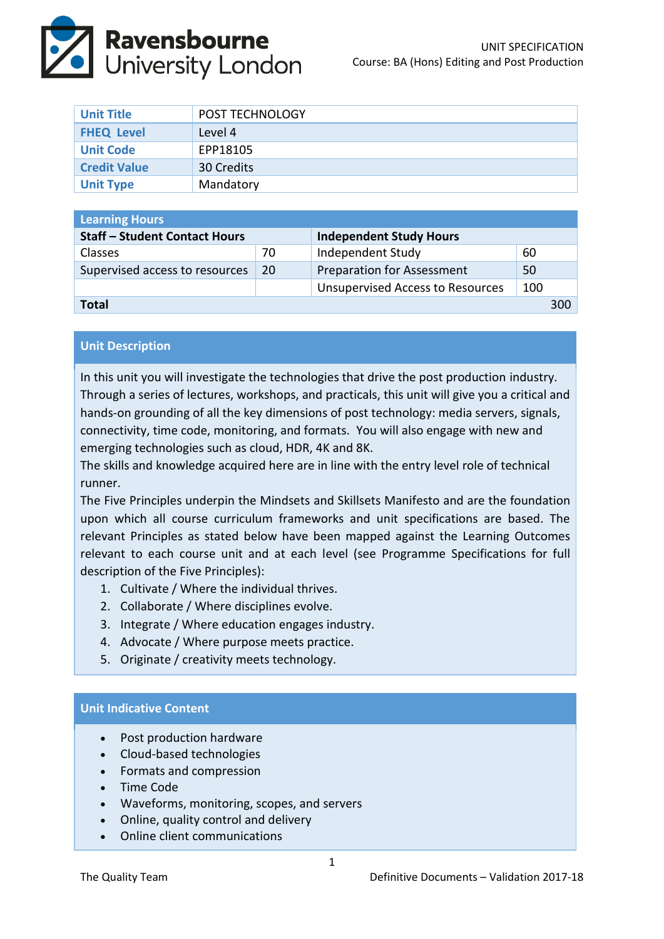

| <b>Unit Title</b>   | <b>POST TECHNOLOGY</b> |
|---------------------|------------------------|
| <b>FHEQ Level</b>   | Level 4                |
| <b>Unit Code</b>    | EPP18105               |
| <b>Credit Value</b> | 30 Credits             |
| <b>Unit Type</b>    | Mandatory              |

| <b>Learning Hours</b>                |     |                                         |     |     |  |  |
|--------------------------------------|-----|-----------------------------------------|-----|-----|--|--|
| <b>Staff - Student Contact Hours</b> |     | <b>Independent Study Hours</b>          |     |     |  |  |
| <b>Classes</b>                       | 70  | Independent Study                       | 60  |     |  |  |
| Supervised access to resources       | -20 | <b>Preparation for Assessment</b>       | 50  |     |  |  |
|                                      |     | <b>Unsupervised Access to Resources</b> | 100 |     |  |  |
| Total                                |     |                                         |     | 300 |  |  |

# **Unit Description**

In this unit you will investigate the technologies that drive the post production industry. Through a series of lectures, workshops, and practicals, this unit will give you a critical and hands-on grounding of all the key dimensions of post technology: media servers, signals, connectivity, time code, monitoring, and formats. You will also engage with new and emerging technologies such as cloud, HDR, 4K and 8K.

The skills and knowledge acquired here are in line with the entry level role of technical runner.

The Five Principles underpin the Mindsets and Skillsets Manifesto and are the foundation upon which all course curriculum frameworks and unit specifications are based. The relevant Principles as stated below have been mapped against the Learning Outcomes relevant to each course unit and at each level (see Programme Specifications for full description of the Five Principles):

- 1. Cultivate / Where the individual thrives.
- 2. Collaborate / Where disciplines evolve.
- 3. Integrate / Where education engages industry.
- 4. Advocate / Where purpose meets practice.
- 5. Originate / creativity meets technology.

## **Unit Indicative Content**

- Post production hardware
- Cloud-based technologies
- Formats and compression
- Time Code
- Waveforms, monitoring, scopes, and servers
- Online, quality control and delivery
- Online client communications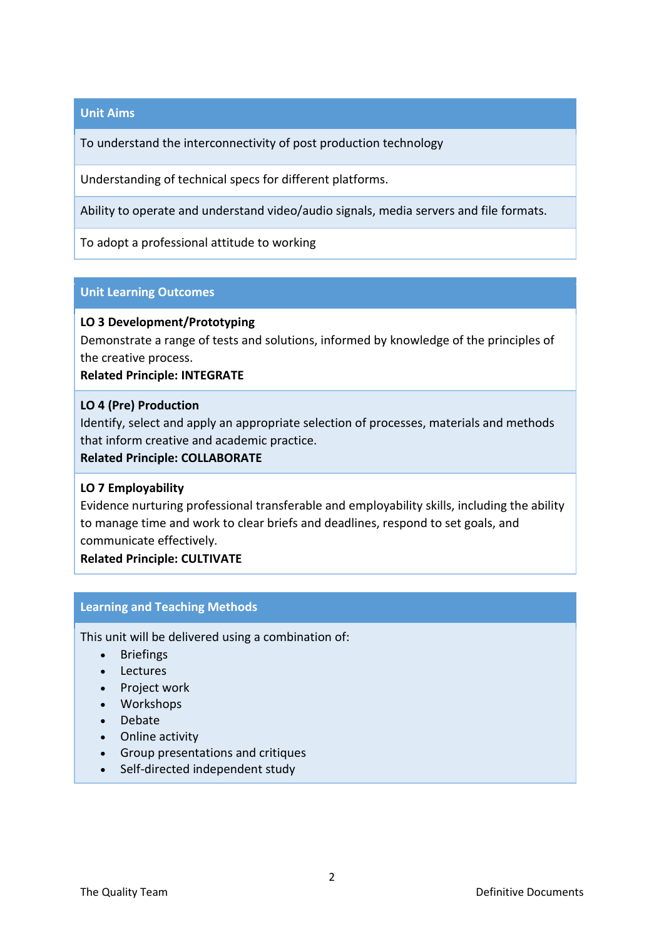## **Unit Aims**

To understand the interconnectivity of post production technology

Understanding of technical specs for different platforms.

Ability to operate and understand video/audio signals, media servers and file formats.

To adopt a professional attitude to working

### **Unit Learning Outcomes**

### **LO 3 Development/Prototyping**

Demonstrate a range of tests and solutions, informed by knowledge of the principles of the creative process.

**Related Principle: INTEGRATE**

#### **LO 4 (Pre) Production**

Identify, select and apply an appropriate selection of processes, materials and methods that inform creative and academic practice.

### **Related Principle: COLLABORATE**

## **LO 7 Employability**

Evidence nurturing professional transferable and employability skills, including the ability to manage time and work to clear briefs and deadlines, respond to set goals, and communicate effectively.

**Related Principle: CULTIVATE**

## **Learning and Teaching Methods**

This unit will be delivered using a combination of:

- Briefings
- Lectures
- Project work
- Workshops
- Debate
- Online activity
- Group presentations and critiques
- Self-directed independent study